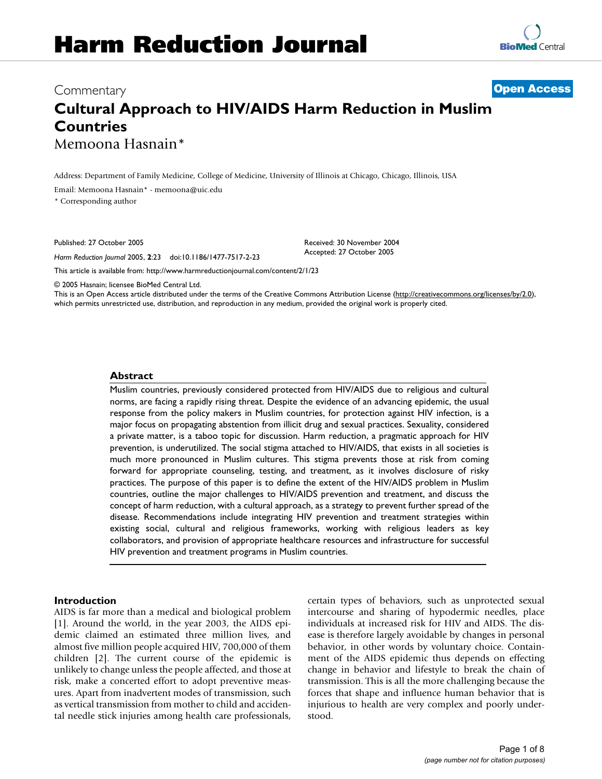# Commentary **[Open Access](http://www.biomedcentral.com/info/about/charter/)**

# **Cultural Approach to HIV/AIDS Harm Reduction in Muslim Countries** Memoona Hasnain\*

Address: Department of Family Medicine, College of Medicine, University of Illinois at Chicago, Chicago, Illinois, USA

Email: Memoona Hasnain\* - memoona@uic.edu

\* Corresponding author

Published: 27 October 2005

*Harm Reduction Journal* 2005, **2**:23 doi:10.1186/1477-7517-2-23

[This article is available from: http://www.harmreductionjournal.com/content/2/1/23](http://www.harmreductionjournal.com/content/2/1/23)

© 2005 Hasnain; licensee BioMed Central Ltd.

This is an Open Access article distributed under the terms of the Creative Commons Attribution License [\(http://creativecommons.org/licenses/by/2.0\)](http://creativecommons.org/licenses/by/2.0), which permits unrestricted use, distribution, and reproduction in any medium, provided the original work is properly cited.

Received: 30 November 2004 Accepted: 27 October 2005

#### **Abstract**

Muslim countries, previously considered protected from HIV/AIDS due to religious and cultural norms, are facing a rapidly rising threat. Despite the evidence of an advancing epidemic, the usual response from the policy makers in Muslim countries, for protection against HIV infection, is a major focus on propagating abstention from illicit drug and sexual practices. Sexuality, considered a private matter, is a taboo topic for discussion. Harm reduction, a pragmatic approach for HIV prevention, is underutilized. The social stigma attached to HIV/AIDS, that exists in all societies is much more pronounced in Muslim cultures. This stigma prevents those at risk from coming forward for appropriate counseling, testing, and treatment, as it involves disclosure of risky practices. The purpose of this paper is to define the extent of the HIV/AIDS problem in Muslim countries, outline the major challenges to HIV/AIDS prevention and treatment, and discuss the concept of harm reduction, with a cultural approach, as a strategy to prevent further spread of the disease. Recommendations include integrating HIV prevention and treatment strategies within existing social, cultural and religious frameworks, working with religious leaders as key collaborators, and provision of appropriate healthcare resources and infrastructure for successful HIV prevention and treatment programs in Muslim countries.

#### **Introduction**

AIDS is far more than a medical and biological problem [1]. Around the world, in the year 2003, the AIDS epidemic claimed an estimated three million lives, and almost five million people acquired HIV, 700,000 of them children [2]. The current course of the epidemic is unlikely to change unless the people affected, and those at risk, make a concerted effort to adopt preventive measures. Apart from inadvertent modes of transmission, such as vertical transmission from mother to child and accidental needle stick injuries among health care professionals, certain types of behaviors, such as unprotected sexual intercourse and sharing of hypodermic needles, place individuals at increased risk for HIV and AIDS. The disease is therefore largely avoidable by changes in personal behavior, in other words by voluntary choice. Containment of the AIDS epidemic thus depends on effecting change in behavior and lifestyle to break the chain of transmission. This is all the more challenging because the forces that shape and influence human behavior that is injurious to health are very complex and poorly understood.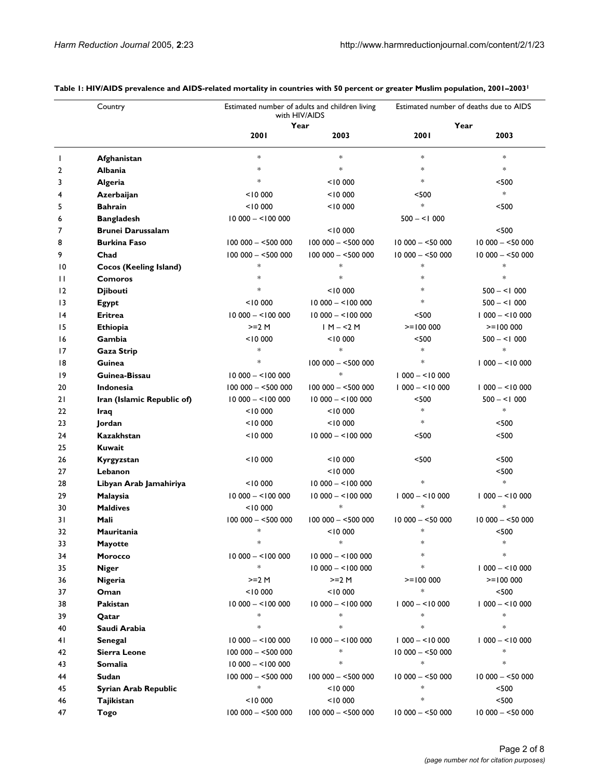|    | Country                     | Estimated number of adults and children living<br>with HIV/AIDS |                   | Estimated number of deaths due to AIDS |                |
|----|-----------------------------|-----------------------------------------------------------------|-------------------|----------------------------------------|----------------|
|    |                             | 2001                                                            | Year<br>2003      | 200 I                                  | Year<br>2003   |
| I  | Afghanistan                 | $\ast$                                                          | $\ast$            | $\ast$                                 | $\ast$         |
| 2  | Albania                     | $\ast$                                                          | $\ast$            | $*$                                    | $\ast$         |
| 3  | Algeria                     | $\ast$                                                          | < 10000           | $*$                                    | $<$ 500        |
| 4  | Azerbaijan                  | $<$ 10 000                                                      | < 10000           | <500                                   | $\ast$         |
| 5  | <b>Bahrain</b>              | $<$ 10 000                                                      | < 10000           | *                                      | <500           |
| 6  | <b>Bangladesh</b>           | $10000 - 10000$                                                 |                   | $500 - 1000$                           |                |
| 7  | <b>Brunei Darussalam</b>    |                                                                 | < 10000           |                                        | <500           |
| 8  | <b>Burkina Faso</b>         | $100000 - 500000$                                               | $100000 - 500000$ | $10000 - 5000$                         | $10000 - 5000$ |
| 9  | Chad                        | $100000 - 500000$                                               | $100000 - 500000$ | $10000 - 5000$                         | $10000 - 5000$ |
| 10 | Cocos (Keeling Island)      | $\ast$                                                          | $\ast$            | $\ast$                                 | $\ast$         |
| Ħ  | <b>Comoros</b>              | $*$                                                             | $\ast$            | $\ast$                                 | $\ast$         |
| 12 | <b>Diibouti</b>             | $\ast$                                                          | < 10000           | *                                      | $500 - 1000$   |
| 13 | <b>Egypt</b>                | $<$ 10 000                                                      | $10000 - 10000$   | $*$                                    | $500 - 5100$   |
| 4  | <b>Eritrea</b>              | $10000 - 10000$                                                 | $10000 - 10000$   | $<$ 500                                | $1000 - 1000$  |
| 15 | Ethiopia                    | $>=2 M$                                                         | $1 M - 2 M$       | $>= 100000$                            | $>= 100000$    |
| 16 | Gambia                      | $<$ $1000$                                                      | < 10000           | $<$ 500                                | $500 - 5100$   |
| 17 | <b>Gaza Strip</b>           | $\ast$                                                          | $*$               | $*$                                    | $*$            |
| 18 | Guinea                      | $\ast$                                                          | $100000 - 500000$ | $\ast$                                 | $1000 - 1000$  |
| 19 | Guinea-Bissau               | $10000 - 10000$                                                 | *                 | $1000 - 1000$                          |                |
| 20 | <b>Indonesia</b>            | $100000 - 500000$                                               | $100000 - 500000$ | $1000 - 1000$                          | $1000 - 1000$  |
| 21 | Iran (Islamic Republic of)  | $10000 - 10000$                                                 | $10000 - 10000$   | $500$                                  | $500 - 51000$  |
| 22 | Iraq                        | $<$ $1000$                                                      | < 10000           | $*$                                    | $\ast$         |
| 23 | Jordan                      | < 10000                                                         | < 10000           | $*$                                    | <500           |
| 24 | Kazakhstan                  | < 10000                                                         | $10000 - 10000$   | $<$ 500                                | <500           |
| 25 | Kuwait                      |                                                                 |                   |                                        |                |
| 26 | Kyrgyzstan                  | $<$ 10 000                                                      | < 10000           | $<$ 500                                | $<$ 500        |
| 27 | Lebanon                     |                                                                 | < 10000           |                                        | <500           |
| 28 | Libyan Arab Jamahiriya      | 10000                                                           | $10000 - 100000$  | $\ast$                                 | $*$            |
| 29 | Malaysia                    | $10000 - 10000$                                                 | $10000 - 10000$   | $1000 - 1000$                          | $1000 - 1000$  |
| 30 | <b>Maldives</b>             | $<$ $1000$                                                      | $\ast$            | $\ast$                                 | $\ast$         |
| 31 | Mali                        | $100000 - 500000$                                               | $100000 - 500000$ | $10000 - 5000$                         | $10000 - 5000$ |
| 32 | Mauritania                  | $\ast$                                                          | < 10000           | ∗                                      | <500           |
| 33 | Mayotte                     | $\ast$                                                          | $\ast$            | *                                      | $\ast$         |
| 34 | Morocco                     | $10000 - 10000$                                                 | $10000 - 10000$   | *                                      | $\ast$         |
| 35 | <b>Niger</b>                | $\ast$                                                          | $10000 - 10000$   | *                                      | $1000 - 1000$  |
| 36 | Nigeria                     | $>=2 M$                                                         | >=2 M             | $>= 100000$                            | $>= 100000$    |
| 37 | Oman                        | $<$ 10 000                                                      | < 10000           | $\ast$                                 | <500           |
| 38 | Pakistan                    | $10000 - 10000$                                                 | $10000 - 10000$   | $1000 - 1000$                          | $1000 - 1000$  |
| 39 | Qatar                       | *                                                               | $\ast$            | *                                      | $\ast$         |
| 40 | Saudi Arabia                | $\ast$                                                          | $\ast$            | *                                      | $\ast$         |
| 41 | Senegal                     | $10000 - 10000$                                                 | $10000 - 10000$   | $1000 - 1000$                          | $1000 - 1000$  |
| 42 | <b>Sierra Leone</b>         | $100000 - 500000$                                               | $\ast$            | $10000 - 5000$                         | $\ast$         |
| 43 | Somalia                     | $10000 - 10000$                                                 | $\ast$            | $\ast$                                 | $\ast$         |
| 44 | Sudan                       | $100000 - 500000$                                               | $100000 - 500000$ | $10000 - 5000$                         | $10000 - 5000$ |
| 45 | <b>Syrian Arab Republic</b> | $\ast$                                                          | < 10000           | $\ast$                                 | <500           |
| 46 | Tajikistan                  | $<$ 10 000                                                      | < 10000           | ∗                                      | $500$          |
| 47 | Togo                        | $100000 - 500000$                                               | $100000 - 500000$ | $10000 - 5000$                         | $10000 - 5000$ |

### **Table 1: HIV/AIDS prevalence and AIDS-related mortality in countries with 50 percent or greater Muslim population, 2001–20031**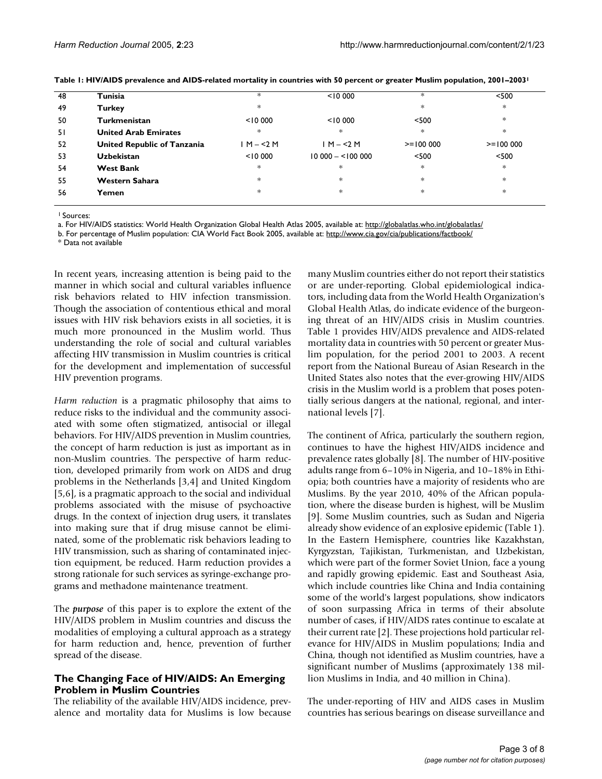| 48 | Tunisia                     | $*$         | < 10000          | $\ast$      | $<$ 500     |
|----|-----------------------------|-------------|------------------|-------------|-------------|
| 49 | <b>Turkey</b>               | $\ast$      |                  | $*$         | *.          |
| 50 | <b>Turkmenistan</b>         | < 10000     | < 10000          | < 500       | $*$         |
| 51 | <b>United Arab Emirates</b> | $\ast$      | $*$              | $*$         | *           |
| 52 | United Republic of Tanzania | $1 M - 2 M$ | $1 M - 2 M$      | $>= 100000$ | $>= 100000$ |
| 53 | <b>Uzbekistan</b>           | < 10000     | $10000 - 510000$ | $<$ 500     | $500$       |
| 54 | <b>West Bank</b>            | $*$         | *                | *           | *           |
| 55 | <b>Western Sahara</b>       | *           | *                | $*$         | *           |
| 56 | Yemen                       | *           | *                | $*$         | *           |
|    |                             |             |                  |             |             |

**Table 1: HIV/AIDS prevalence and AIDS-related mortality in countries with 50 percent or greater Muslim population, 2001–20031**

1 Sources:

a. For HIV/AIDS statistics: World Health Organization Global Health Atlas 2005, available at: <http://globalatlas.who.int/globalatlas/>

b. For percentage of Muslim population: CIA World Fact Book 2005, available at: <http://www.cia.gov/cia/publications/factbook/>

\* Data not available

In recent years, increasing attention is being paid to the manner in which social and cultural variables influence risk behaviors related to HIV infection transmission. Though the association of contentious ethical and moral issues with HIV risk behaviors exists in all societies, it is much more pronounced in the Muslim world. Thus understanding the role of social and cultural variables affecting HIV transmission in Muslim countries is critical for the development and implementation of successful HIV prevention programs.

*Harm reduction* is a pragmatic philosophy that aims to reduce risks to the individual and the community associated with some often stigmatized, antisocial or illegal behaviors. For HIV/AIDS prevention in Muslim countries, the concept of harm reduction is just as important as in non-Muslim countries. The perspective of harm reduction, developed primarily from work on AIDS and drug problems in the Netherlands [3,4] and United Kingdom [5,6], is a pragmatic approach to the social and individual problems associated with the misuse of psychoactive drugs. In the context of injection drug users, it translates into making sure that if drug misuse cannot be eliminated, some of the problematic risk behaviors leading to HIV transmission, such as sharing of contaminated injection equipment, be reduced. Harm reduction provides a strong rationale for such services as syringe-exchange programs and methadone maintenance treatment.

The *purpose* of this paper is to explore the extent of the HIV/AIDS problem in Muslim countries and discuss the modalities of employing a cultural approach as a strategy for harm reduction and, hence, prevention of further spread of the disease.

## **The Changing Face of HIV/AIDS: An Emerging Problem in Muslim Countries**

The reliability of the available HIV/AIDS incidence, prevalence and mortality data for Muslims is low because many Muslim countries either do not report their statistics or are under-reporting. Global epidemiological indicators, including data from the World Health Organization's Global Health Atlas, do indicate evidence of the burgeoning threat of an HIV/AIDS crisis in Muslim countries. Table 1 provides HIV/AIDS prevalence and AIDS-related mortality data in countries with 50 percent or greater Muslim population, for the period 2001 to 2003. A recent report from the National Bureau of Asian Research in the United States also notes that the ever-growing HIV/AIDS crisis in the Muslim world is a problem that poses potentially serious dangers at the national, regional, and international levels [7].

The continent of Africa, particularly the southern region, continues to have the highest HIV/AIDS incidence and prevalence rates globally [8]. The number of HIV-positive adults range from 6–10% in Nigeria, and 10–18% in Ethiopia; both countries have a majority of residents who are Muslims. By the year 2010, 40% of the African population, where the disease burden is highest, will be Muslim [9]. Some Muslim countries, such as Sudan and Nigeria already show evidence of an explosive epidemic (Table 1). In the Eastern Hemisphere, countries like Kazakhstan, Kyrgyzstan, Tajikistan, Turkmenistan, and Uzbekistan, which were part of the former Soviet Union, face a young and rapidly growing epidemic. East and Southeast Asia, which include countries like China and India containing some of the world's largest populations, show indicators of soon surpassing Africa in terms of their absolute number of cases, if HIV/AIDS rates continue to escalate at their current rate [2]. These projections hold particular relevance for HIV/AIDS in Muslim populations; India and China, though not identified as Muslim countries, have a significant number of Muslims (approximately 138 million Muslims in India, and 40 million in China).

The under-reporting of HIV and AIDS cases in Muslim countries has serious bearings on disease surveillance and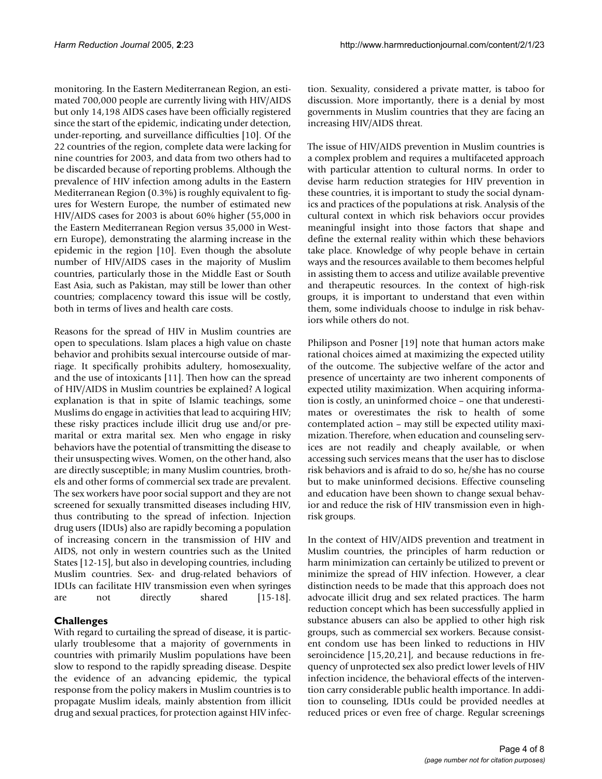monitoring. In the Eastern Mediterranean Region, an estimated 700,000 people are currently living with HIV/AIDS but only 14,198 AIDS cases have been officially registered since the start of the epidemic, indicating under detection, under-reporting, and surveillance difficulties [10]. Of the 22 countries of the region, complete data were lacking for nine countries for 2003, and data from two others had to be discarded because of reporting problems. Although the prevalence of HIV infection among adults in the Eastern Mediterranean Region (0.3%) is roughly equivalent to figures for Western Europe, the number of estimated new HIV/AIDS cases for 2003 is about 60% higher (55,000 in the Eastern Mediterranean Region versus 35,000 in Western Europe), demonstrating the alarming increase in the epidemic in the region [10]. Even though the absolute number of HIV/AIDS cases in the majority of Muslim countries, particularly those in the Middle East or South East Asia, such as Pakistan, may still be lower than other countries; complacency toward this issue will be costly, both in terms of lives and health care costs.

Reasons for the spread of HIV in Muslim countries are open to speculations. Islam places a high value on chaste behavior and prohibits sexual intercourse outside of marriage. It specifically prohibits adultery, homosexuality, and the use of intoxicants [11]. Then how can the spread of HIV/AIDS in Muslim countries be explained? A logical explanation is that in spite of Islamic teachings, some Muslims do engage in activities that lead to acquiring HIV; these risky practices include illicit drug use and/or premarital or extra marital sex. Men who engage in risky behaviors have the potential of transmitting the disease to their unsuspecting wives. Women, on the other hand, also are directly susceptible; in many Muslim countries, brothels and other forms of commercial sex trade are prevalent. The sex workers have poor social support and they are not screened for sexually transmitted diseases including HIV, thus contributing to the spread of infection. Injection drug users (IDUs) also are rapidly becoming a population of increasing concern in the transmission of HIV and AIDS, not only in western countries such as the United States [12-15], but also in developing countries, including Muslim countries. Sex- and drug-related behaviors of IDUs can facilitate HIV transmission even when syringes are not directly shared [15-18].

# **Challenges**

With regard to curtailing the spread of disease, it is particularly troublesome that a majority of governments in countries with primarily Muslim populations have been slow to respond to the rapidly spreading disease. Despite the evidence of an advancing epidemic, the typical response from the policy makers in Muslim countries is to propagate Muslim ideals, mainly abstention from illicit drug and sexual practices, for protection against HIV infection. Sexuality, considered a private matter, is taboo for discussion. More importantly, there is a denial by most governments in Muslim countries that they are facing an increasing HIV/AIDS threat.

The issue of HIV/AIDS prevention in Muslim countries is a complex problem and requires a multifaceted approach with particular attention to cultural norms. In order to devise harm reduction strategies for HIV prevention in these countries, it is important to study the social dynamics and practices of the populations at risk. Analysis of the cultural context in which risk behaviors occur provides meaningful insight into those factors that shape and define the external reality within which these behaviors take place. Knowledge of why people behave in certain ways and the resources available to them becomes helpful in assisting them to access and utilize available preventive and therapeutic resources. In the context of high-risk groups, it is important to understand that even within them, some individuals choose to indulge in risk behaviors while others do not.

Philipson and Posner [19] note that human actors make rational choices aimed at maximizing the expected utility of the outcome. The subjective welfare of the actor and presence of uncertainty are two inherent components of expected utility maximization. When acquiring information is costly, an uninformed choice – one that underestimates or overestimates the risk to health of some contemplated action – may still be expected utility maximization. Therefore, when education and counseling services are not readily and cheaply available, or when accessing such services means that the user has to disclose risk behaviors and is afraid to do so, he/she has no course but to make uninformed decisions. Effective counseling and education have been shown to change sexual behavior and reduce the risk of HIV transmission even in highrisk groups.

In the context of HIV/AIDS prevention and treatment in Muslim countries, the principles of harm reduction or harm minimization can certainly be utilized to prevent or minimize the spread of HIV infection. However, a clear distinction needs to be made that this approach does not advocate illicit drug and sex related practices. The harm reduction concept which has been successfully applied in substance abusers can also be applied to other high risk groups, such as commercial sex workers. Because consistent condom use has been linked to reductions in HIV seroincidence [15,20,21], and because reductions in frequency of unprotected sex also predict lower levels of HIV infection incidence, the behavioral effects of the intervention carry considerable public health importance. In addition to counseling, IDUs could be provided needles at reduced prices or even free of charge. Regular screenings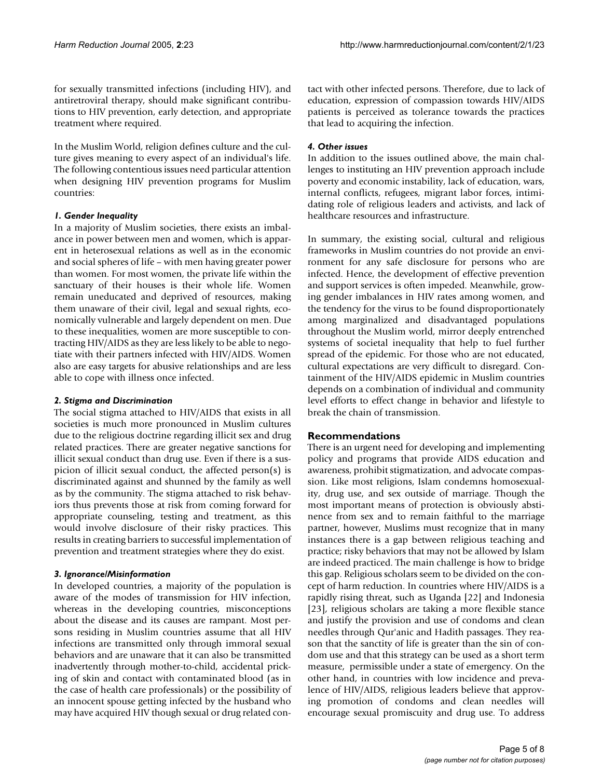for sexually transmitted infections (including HIV), and antiretroviral therapy, should make significant contributions to HIV prevention, early detection, and appropriate treatment where required.

In the Muslim World, religion defines culture and the culture gives meaning to every aspect of an individual's life. The following contentious issues need particular attention when designing HIV prevention programs for Muslim countries:

## *1. Gender Inequality*

In a majority of Muslim societies, there exists an imbalance in power between men and women, which is apparent in heterosexual relations as well as in the economic and social spheres of life – with men having greater power than women. For most women, the private life within the sanctuary of their houses is their whole life. Women remain uneducated and deprived of resources, making them unaware of their civil, legal and sexual rights, economically vulnerable and largely dependent on men. Due to these inequalities, women are more susceptible to contracting HIV/AIDS as they are less likely to be able to negotiate with their partners infected with HIV/AIDS. Women also are easy targets for abusive relationships and are less able to cope with illness once infected.

## *2. Stigma and Discrimination*

The social stigma attached to HIV/AIDS that exists in all societies is much more pronounced in Muslim cultures due to the religious doctrine regarding illicit sex and drug related practices. There are greater negative sanctions for illicit sexual conduct than drug use. Even if there is a suspicion of illicit sexual conduct, the affected person(s) is discriminated against and shunned by the family as well as by the community. The stigma attached to risk behaviors thus prevents those at risk from coming forward for appropriate counseling, testing and treatment, as this would involve disclosure of their risky practices. This results in creating barriers to successful implementation of prevention and treatment strategies where they do exist.

# *3. Ignorance/Misinformation*

In developed countries, a majority of the population is aware of the modes of transmission for HIV infection, whereas in the developing countries, misconceptions about the disease and its causes are rampant. Most persons residing in Muslim countries assume that all HIV infections are transmitted only through immoral sexual behaviors and are unaware that it can also be transmitted inadvertently through mother-to-child, accidental pricking of skin and contact with contaminated blood (as in the case of health care professionals) or the possibility of an innocent spouse getting infected by the husband who may have acquired HIV though sexual or drug related contact with other infected persons. Therefore, due to lack of education, expression of compassion towards HIV/AIDS patients is perceived as tolerance towards the practices that lead to acquiring the infection.

## *4. Other issues*

In addition to the issues outlined above, the main challenges to instituting an HIV prevention approach include poverty and economic instability, lack of education, wars, internal conflicts, refugees, migrant labor forces, intimidating role of religious leaders and activists, and lack of healthcare resources and infrastructure.

In summary, the existing social, cultural and religious frameworks in Muslim countries do not provide an environment for any safe disclosure for persons who are infected. Hence, the development of effective prevention and support services is often impeded. Meanwhile, growing gender imbalances in HIV rates among women, and the tendency for the virus to be found disproportionately among marginalized and disadvantaged populations throughout the Muslim world, mirror deeply entrenched systems of societal inequality that help to fuel further spread of the epidemic. For those who are not educated, cultural expectations are very difficult to disregard. Containment of the HIV/AIDS epidemic in Muslim countries depends on a combination of individual and community level efforts to effect change in behavior and lifestyle to break the chain of transmission.

# **Recommendations**

There is an urgent need for developing and implementing policy and programs that provide AIDS education and awareness, prohibit stigmatization, and advocate compassion. Like most religions, Islam condemns homosexuality, drug use, and sex outside of marriage. Though the most important means of protection is obviously abstinence from sex and to remain faithful to the marriage partner, however, Muslims must recognize that in many instances there is a gap between religious teaching and practice; risky behaviors that may not be allowed by Islam are indeed practiced. The main challenge is how to bridge this gap. Religious scholars seem to be divided on the concept of harm reduction. In countries where HIV/AIDS is a rapidly rising threat, such as Uganda [22] and Indonesia [23], religious scholars are taking a more flexible stance and justify the provision and use of condoms and clean needles through Qur'anic and Hadith passages. They reason that the sanctity of life is greater than the sin of condom use and that this strategy can be used as a short term measure, permissible under a state of emergency. On the other hand, in countries with low incidence and prevalence of HIV/AIDS, religious leaders believe that approving promotion of condoms and clean needles will encourage sexual promiscuity and drug use. To address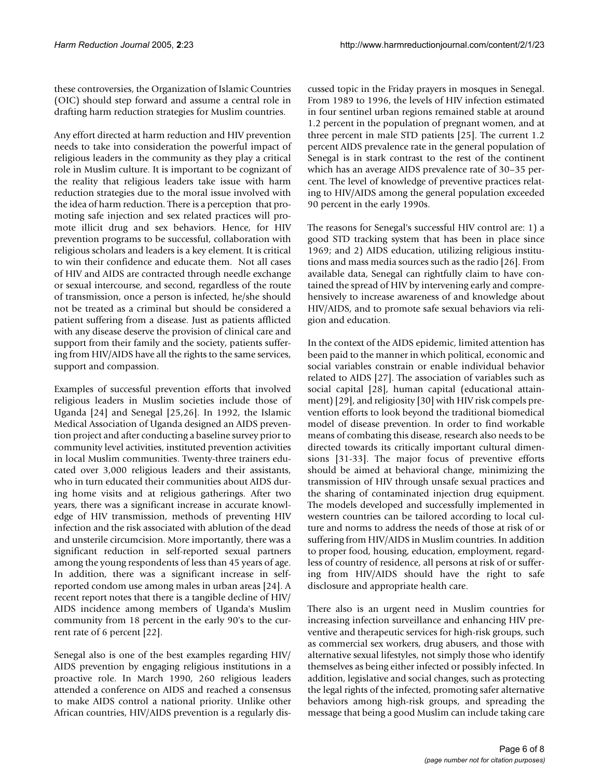these controversies, the Organization of Islamic Countries (OIC) should step forward and assume a central role in drafting harm reduction strategies for Muslim countries.

Any effort directed at harm reduction and HIV prevention needs to take into consideration the powerful impact of religious leaders in the community as they play a critical role in Muslim culture. It is important to be cognizant of the reality that religious leaders take issue with harm reduction strategies due to the moral issue involved with the idea of harm reduction. There is a perception that promoting safe injection and sex related practices will promote illicit drug and sex behaviors. Hence, for HIV prevention programs to be successful, collaboration with religious scholars and leaders is a key element. It is critical to win their confidence and educate them. Not all cases of HIV and AIDS are contracted through needle exchange or sexual intercourse, and second, regardless of the route of transmission, once a person is infected, he/she should not be treated as a criminal but should be considered a patient suffering from a disease. Just as patients afflicted with any disease deserve the provision of clinical care and support from their family and the society, patients suffering from HIV/AIDS have all the rights to the same services, support and compassion.

Examples of successful prevention efforts that involved religious leaders in Muslim societies include those of Uganda [24] and Senegal [25,26]. In 1992, the Islamic Medical Association of Uganda designed an AIDS prevention project and after conducting a baseline survey prior to community level activities, instituted prevention activities in local Muslim communities. Twenty-three trainers educated over 3,000 religious leaders and their assistants, who in turn educated their communities about AIDS during home visits and at religious gatherings. After two years, there was a significant increase in accurate knowledge of HIV transmission, methods of preventing HIV infection and the risk associated with ablution of the dead and unsterile circumcision. More importantly, there was a significant reduction in self-reported sexual partners among the young respondents of less than 45 years of age. In addition, there was a significant increase in selfreported condom use among males in urban areas [24]. A recent report notes that there is a tangible decline of HIV/ AIDS incidence among members of Uganda's Muslim community from 18 percent in the early 90's to the current rate of 6 percent [22].

Senegal also is one of the best examples regarding HIV/ AIDS prevention by engaging religious institutions in a proactive role. In March 1990, 260 religious leaders attended a conference on AIDS and reached a consensus to make AIDS control a national priority. Unlike other African countries, HIV/AIDS prevention is a regularly discussed topic in the Friday prayers in mosques in Senegal. From 1989 to 1996, the levels of HIV infection estimated in four sentinel urban regions remained stable at around 1.2 percent in the population of pregnant women, and at three percent in male STD patients [25]. The current 1.2 percent AIDS prevalence rate in the general population of Senegal is in stark contrast to the rest of the continent which has an average AIDS prevalence rate of 30–35 percent. The level of knowledge of preventive practices relating to HIV/AIDS among the general population exceeded 90 percent in the early 1990s.

The reasons for Senegal's successful HIV control are: 1) a good STD tracking system that has been in place since 1969; and 2) AIDS education, utilizing religious institutions and mass media sources such as the radio [26]. From available data, Senegal can rightfully claim to have contained the spread of HIV by intervening early and comprehensively to increase awareness of and knowledge about HIV/AIDS, and to promote safe sexual behaviors via religion and education.

In the context of the AIDS epidemic, limited attention has been paid to the manner in which political, economic and social variables constrain or enable individual behavior related to AIDS [27]. The association of variables such as social capital [28], human capital (educational attainment) [29], and religiosity [30] with HIV risk compels prevention efforts to look beyond the traditional biomedical model of disease prevention. In order to find workable means of combating this disease, research also needs to be directed towards its critically important cultural dimensions [31-33]. The major focus of preventive efforts should be aimed at behavioral change, minimizing the transmission of HIV through unsafe sexual practices and the sharing of contaminated injection drug equipment. The models developed and successfully implemented in western countries can be tailored according to local culture and norms to address the needs of those at risk of or suffering from HIV/AIDS in Muslim countries. In addition to proper food, housing, education, employment, regardless of country of residence, all persons at risk of or suffering from HIV/AIDS should have the right to safe disclosure and appropriate health care.

There also is an urgent need in Muslim countries for increasing infection surveillance and enhancing HIV preventive and therapeutic services for high-risk groups, such as commercial sex workers, drug abusers, and those with alternative sexual lifestyles, not simply those who identify themselves as being either infected or possibly infected. In addition, legislative and social changes, such as protecting the legal rights of the infected, promoting safer alternative behaviors among high-risk groups, and spreading the message that being a good Muslim can include taking care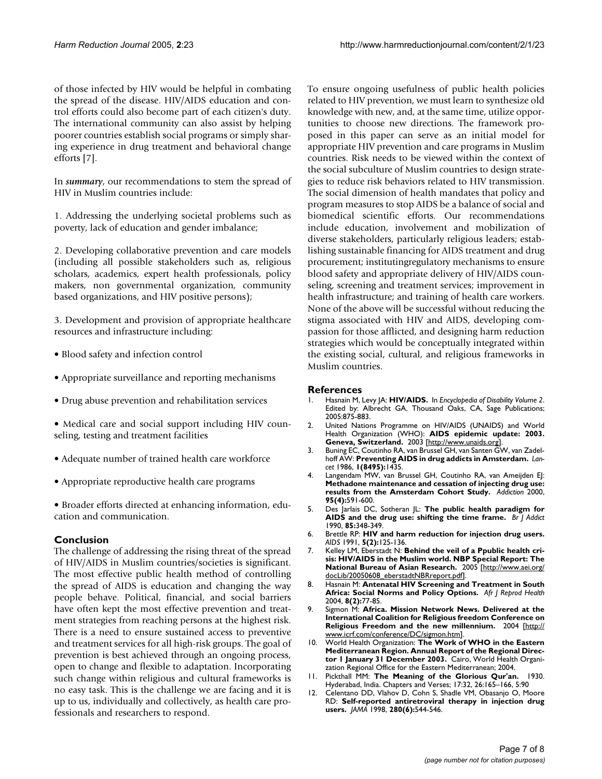of those infected by HIV would be helpful in combating the spread of the disease. HIV/AIDS education and control efforts could also become part of each citizen's duty. The international community can also assist by helping poorer countries establish social programs or simply sharing experience in drug treatment and behavioral change efforts [7].

In *summary*, our recommendations to stem the spread of HIV in Muslim countries include:

1. Addressing the underlying societal problems such as poverty, lack of education and gender imbalance;

2. Developing collaborative prevention and care models (including all possible stakeholders such as, religious scholars, academics, expert health professionals, policy makers, non governmental organization, community based organizations, and HIV positive persons);

3. Development and provision of appropriate healthcare resources and infrastructure including:

- Blood safety and infection control
- Appropriate surveillance and reporting mechanisms
- Drug abuse prevention and rehabilitation services
- Medical care and social support including HIV counseling, testing and treatment facilities
- Adequate number of trained health care workforce
- Appropriate reproductive health care programs

• Broader efforts directed at enhancing information, education and communication.

#### **Conclusion**

The challenge of addressing the rising threat of the spread of HIV/AIDS in Muslim countries/societies is significant. The most effective public health method of controlling the spread of AIDS is education and changing the way people behave. Political, financial, and social barriers have often kept the most effective prevention and treatment strategies from reaching persons at the highest risk. There is a need to ensure sustained access to preventive and treatment services for all high-risk groups. The goal of prevention is best achieved through an ongoing process, open to change and flexible to adaptation. Incorporating such change within religious and cultural frameworks is no easy task. This is the challenge we are facing and it is up to us, individually and collectively, as health care professionals and researchers to respond.

To ensure ongoing usefulness of public health policies related to HIV prevention, we must learn to synthesize old knowledge with new, and, at the same time, utilize opportunities to choose new directions. The framework proposed in this paper can serve as an initial model for appropriate HIV prevention and care programs in Muslim countries. Risk needs to be viewed within the context of the social subculture of Muslim countries to design strategies to reduce risk behaviors related to HIV transmission. The social dimension of health mandates that policy and program measures to stop AIDS be a balance of social and biomedical scientific efforts. Our recommendations include education, involvement and mobilization of diverse stakeholders, particularly religious leaders; establishing sustainable financing for AIDS treatment and drug procurement; institutingregulatory mechanisms to ensure blood safety and appropriate delivery of HIV/AIDS counseling, screening and treatment services; improvement in health infrastructure; and training of health care workers. None of the above will be successful without reducing the stigma associated with HIV and AIDS, developing compassion for those afflicted, and designing harm reduction strategies which would be conceptually integrated within the existing social, cultural, and religious frameworks in Muslim countries.

#### **References**

- 1. Hasnain M, Levy JA: **HIV/AIDS.** In *Encyclopedia of Disability Volume 2*. Edited by: Albrecht GA. Thousand Oaks, CA, Sage Publications; 2005:875-883.
- 2. United Nations Programme on HIV/AIDS (UNAIDS) and World Health Organization (WHO): **AIDS epidemic update: 2003. Geneva, Switzerland.** 2003 [<http://www.unaids.org>].
- 3. Buning EC, Coutinho RA, van Brussel GH, van Santen GW, van Zadelhoff AW: **[Preventing AIDS in drug addicts in Amsterdam.](http://www.ncbi.nlm.nih.gov/entrez/query.fcgi?cmd=Retrieve&db=PubMed&dopt=Abstract&list_uids=2872527)** *Lancet* 1986, **1(8495):**1435.
- 4. Langendam MW, van Brussel GH, Coutinho RA, van Ameijden EJ: **[Methadone maintenance and cessation of injecting drug use:](http://www.ncbi.nlm.nih.gov/entrez/query.fcgi?cmd=Retrieve&db=PubMed&dopt=Abstract&list_uids=10829334) [results from the Amsterdam Cohort Study.](http://www.ncbi.nlm.nih.gov/entrez/query.fcgi?cmd=Retrieve&db=PubMed&dopt=Abstract&list_uids=10829334)** *Addiction* 2000, **95(4):**591-600.
- 5. Des Jarlais DC, Sotheran JL: **The public health paradigm for AIDS and the drug use: shifting the time frame.** *Br J Addict* 1990, **85:**348-349.
- 6. Brettle RP: **[HIV and harm reduction for injection drug users.](http://www.ncbi.nlm.nih.gov/entrez/query.fcgi?cmd=Retrieve&db=PubMed&dopt=Abstract&list_uids=2031687)** *AIDS* 1991, **5(2):**125-136.
- 7. Kelley LM, Eberstadt N: **Behind the veil of a Ppublic health crisis: HIV/AIDS in the Muslim world. NBP Special Report: The National Bureau of Asian Research.** 2005 [\[http://www.aei.org/](http://www.aei.org/docLib/20050608_eberstadtNBRreport.pdf) [docLib/20050608\\_eberstadtNBRreport.pdf](http://www.aei.org/docLib/20050608_eberstadtNBRreport.pdf)]
- 8. Hasnain M: **[Antenatal HIV Screening and Treatment in South](http://www.ncbi.nlm.nih.gov/entrez/query.fcgi?cmd=Retrieve&db=PubMed&dopt=Abstract&list_uids=15623122) [Africa: Social Norms and Policy Options.](http://www.ncbi.nlm.nih.gov/entrez/query.fcgi?cmd=Retrieve&db=PubMed&dopt=Abstract&list_uids=15623122)** *Afr J Reprod Health* 2004, **8(2):**77-85.
- 9. Sigmon M: **Africa. Mission Network News. Delivered at the International Coalition for Religious freedom Conference on Religious Freedom and the new millennium.** 2004 [\[http://](http://www.icrf.com/conference/DC/sigmon.htm) [www.icrf.com/conference/DC/sigmon.htm](http://www.icrf.com/conference/DC/sigmon.htm)].
- 10. World Health Organization: **The Work of WHO in the Eastern Mediterranean Region. Annual Report of the Regional Director 1 January 31 December 2003.** Cairo, World Health Organization Regional Office for the Eastern Mediterranean; 2004.
- 11. Pickthall MM: **The Meaning of the Glorious Qur'an.** 1930. Hyderabad, India. Chapters and Verses; 17:32, 26:165–166, 5:90
- 12. Celentano DD, Vlahov D, Cohn S, Shadle VM, Obasanjo O, Moore RD: **[Self-reported antiretroviral therapy in injection drug](http://www.ncbi.nlm.nih.gov/entrez/query.fcgi?cmd=Retrieve&db=PubMed&dopt=Abstract&list_uids=9707145) [users.](http://www.ncbi.nlm.nih.gov/entrez/query.fcgi?cmd=Retrieve&db=PubMed&dopt=Abstract&list_uids=9707145)** *JAMA* 1998, **280(6):**544-546.